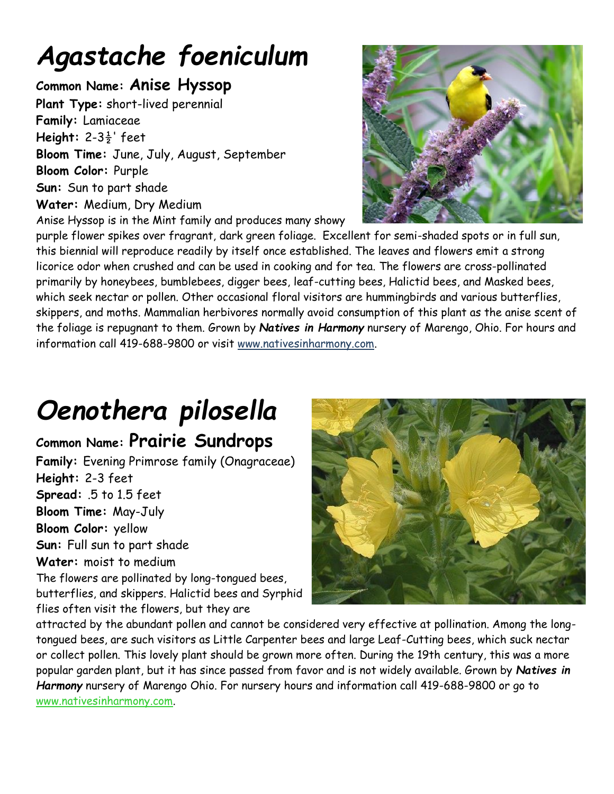## *Agastache foeniculum*

#### **Common Name: Anise Hyssop**

**Plant Type:** short-lived perennial **Family:** Lamiaceae **Height:** 2-3½' feet **Bloom Time:** June, July, August, September **Bloom Color:** Purple **Sun:** Sun to part shade **Water:** Medium, Dry Medium Anise Hyssop is in the Mint family and produces many showy

purple flower spikes over fragrant, dark green foliage. Excellent for semi-shaded spots or in full sun, this biennial will reproduce readily by itself once established. The leaves and flowers emit a strong licorice odor when crushed and can be used in cooking and for tea. The flowers are cross-pollinated primarily by honeybees, bumblebees, digger bees, leaf-cutting bees, Halictid bees, and Masked bees, which seek nectar or pollen. Other occasional floral visitors are hummingbirds and various butterflies, skippers, and moths. Mammalian herbivores normally avoid consumption of this plant as the anise scent of the foliage is repugnant to them. Grown by *Natives in Harmony* nursery of Marengo, Ohio. For hours and information call 419-688-9800 or visit www.nativesinharmony.com.

## *Oenothera pilosella*

#### **Common Name: Prairie Sundrops**

**Family:** Evening Primrose family (Onagraceae) **Height:** 2-3 feet **Spread:** .5 to 1.5 feet **Bloom Time:** May-July **Bloom Color:** yellow **Sun:** Full sun to part shade **Water:** moist to medium The flowers are pollinated by long-tongued bees, butterflies, and skippers. Halictid bees and Syrphid flies often visit the flowers, but they are



attracted by the abundant pollen and cannot be considered very effective at pollination. Among the longtongued bees, are such visitors as Little Carpenter bees and large Leaf-Cutting bees, which suck nectar or collect pollen. This lovely plant should be grown more often. During the 19th century, this was a more popular garden plant, but it has since passed from favor and is not widely available. Grown by *Natives in Harmony* nursery of Marengo Ohio. For nursery hours and information call 419-688-9800 or go to [www.nativesinharmony.com.](http://www.nativesinharmony.com/)